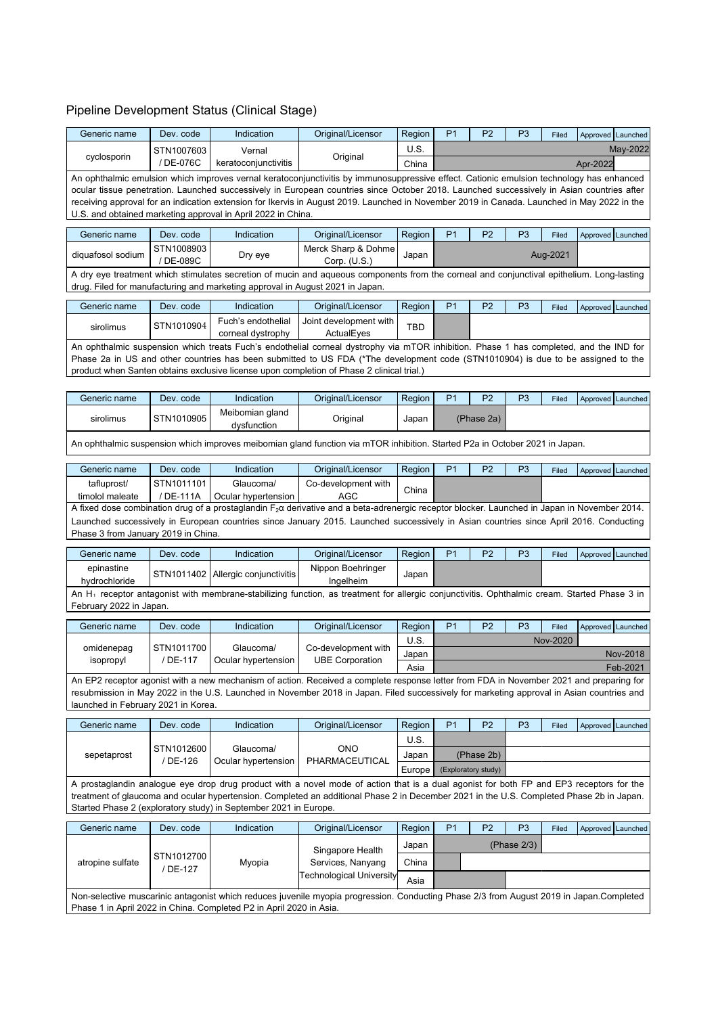## Pipeline Development Status (Clinical Stage)

| Generic name                                                                                                                                                                                                                                                                             | Dev. code                                                                                                                                                                                                                  | Indication                                                       | Original/Licensor                                                                                                                                                                                                                                                                    | Region     | P <sub>1</sub>                                                                                                                          | P <sub>2</sub>      | P <sub>3</sub> | Filed    |          | Approved Launched   |
|------------------------------------------------------------------------------------------------------------------------------------------------------------------------------------------------------------------------------------------------------------------------------------------|----------------------------------------------------------------------------------------------------------------------------------------------------------------------------------------------------------------------------|------------------------------------------------------------------|--------------------------------------------------------------------------------------------------------------------------------------------------------------------------------------------------------------------------------------------------------------------------------------|------------|-----------------------------------------------------------------------------------------------------------------------------------------|---------------------|----------------|----------|----------|---------------------|
| cyclosporin                                                                                                                                                                                                                                                                              | STN1007603                                                                                                                                                                                                                 | Vernal                                                           | Original                                                                                                                                                                                                                                                                             | U.S.       |                                                                                                                                         |                     |                |          |          | May-2022            |
|                                                                                                                                                                                                                                                                                          | / DE-076C                                                                                                                                                                                                                  | keratoconjunctivitis                                             |                                                                                                                                                                                                                                                                                      | China      |                                                                                                                                         |                     |                |          | Apr-2022 |                     |
|                                                                                                                                                                                                                                                                                          |                                                                                                                                                                                                                            |                                                                  | An ophthalmic emulsion which improves vernal keratoconjunctivitis by immunosuppressive effect. Cationic emulsion technology has enhanced                                                                                                                                             |            |                                                                                                                                         |                     |                |          |          |                     |
| ocular tissue penetration. Launched successively in European countries since October 2018. Launched successively in Asian countries after<br>receiving approval for an indication extension for Ikervis in August 2019. Launched in November 2019 in Canada. Launched in May 2022 in the |                                                                                                                                                                                                                            |                                                                  |                                                                                                                                                                                                                                                                                      |            |                                                                                                                                         |                     |                |          |          |                     |
|                                                                                                                                                                                                                                                                                          | U.S. and obtained marketing approval in April 2022 in China.                                                                                                                                                               |                                                                  |                                                                                                                                                                                                                                                                                      |            |                                                                                                                                         |                     |                |          |          |                     |
| Generic name                                                                                                                                                                                                                                                                             | Dev. code                                                                                                                                                                                                                  | Indication                                                       | Original/Licensor                                                                                                                                                                                                                                                                    | Region     | P <sub>1</sub>                                                                                                                          | P <sub>2</sub>      | P <sub>3</sub> | Filed    |          | Approved Launched   |
|                                                                                                                                                                                                                                                                                          | STN1008903                                                                                                                                                                                                                 |                                                                  | Merck Sharp & Dohme                                                                                                                                                                                                                                                                  |            |                                                                                                                                         |                     |                |          |          |                     |
| diquafosol sodium                                                                                                                                                                                                                                                                        | / DE-089C                                                                                                                                                                                                                  | Dry eye                                                          | Corp. $(U.S.)$                                                                                                                                                                                                                                                                       | Japan      |                                                                                                                                         |                     |                | Aug-2021 |          |                     |
|                                                                                                                                                                                                                                                                                          | A dry eye treatment which stimulates secretion of mucin and aqueous components from the corneal and conjunctival epithelium. Long-lasting<br>drug. Filed for manufacturing and marketing approval in August 2021 in Japan. |                                                                  |                                                                                                                                                                                                                                                                                      |            |                                                                                                                                         |                     |                |          |          |                     |
| Generic name                                                                                                                                                                                                                                                                             | Dev. code                                                                                                                                                                                                                  | Indication                                                       | Original/Licensor                                                                                                                                                                                                                                                                    | Region     | P <sub>1</sub>                                                                                                                          | P <sub>2</sub>      | P <sub>3</sub> | Filed    |          | Approved Launched   |
|                                                                                                                                                                                                                                                                                          | STN1010904                                                                                                                                                                                                                 | Fuch's endothelial                                               | Joint development with                                                                                                                                                                                                                                                               |            |                                                                                                                                         |                     |                |          |          |                     |
| sirolimus                                                                                                                                                                                                                                                                                |                                                                                                                                                                                                                            | corneal dystrophy                                                | ActualEyes                                                                                                                                                                                                                                                                           | <b>TBD</b> |                                                                                                                                         |                     |                |          |          |                     |
|                                                                                                                                                                                                                                                                                          |                                                                                                                                                                                                                            |                                                                  | An ophthalmic suspension which treats Fuch's endothelial corneal dystrophy via mTOR inhibition. Phase 1 has completed, and the IND for                                                                                                                                               |            |                                                                                                                                         |                     |                |          |          |                     |
|                                                                                                                                                                                                                                                                                          |                                                                                                                                                                                                                            |                                                                  | Phase 2a in US and other countries has been submitted to US FDA (*The development code (STN1010904) is due to be assigned to the<br>product when Santen obtains exclusive license upon completion of Phase 2 clinical trial.)                                                        |            |                                                                                                                                         |                     |                |          |          |                     |
|                                                                                                                                                                                                                                                                                          |                                                                                                                                                                                                                            |                                                                  |                                                                                                                                                                                                                                                                                      |            |                                                                                                                                         |                     |                |          |          |                     |
| Generic name                                                                                                                                                                                                                                                                             | Dev. code                                                                                                                                                                                                                  | Indication                                                       | Original/Licensor                                                                                                                                                                                                                                                                    | Region     | P <sub>1</sub>                                                                                                                          | P <sub>2</sub>      | P <sub>3</sub> | Filed    |          | Approved Launched   |
| sirolimus                                                                                                                                                                                                                                                                                | STN1010905                                                                                                                                                                                                                 | Meibomian gland<br>dysfunction                                   | Original                                                                                                                                                                                                                                                                             | Japan      |                                                                                                                                         | (Phase 2a)          |                |          |          |                     |
|                                                                                                                                                                                                                                                                                          |                                                                                                                                                                                                                            |                                                                  | An ophthalmic suspension which improves meibomian gland function via mTOR inhibition. Started P2a in October 2021 in Japan.                                                                                                                                                          |            |                                                                                                                                         |                     |                |          |          |                     |
|                                                                                                                                                                                                                                                                                          |                                                                                                                                                                                                                            |                                                                  |                                                                                                                                                                                                                                                                                      |            |                                                                                                                                         |                     |                |          |          |                     |
| Generic name                                                                                                                                                                                                                                                                             | Dev. code                                                                                                                                                                                                                  | Indication                                                       | Original/Licensor                                                                                                                                                                                                                                                                    | Region     | P <sub>1</sub>                                                                                                                          | P <sub>2</sub>      | P <sub>3</sub> | Filed    |          | Approved Launched   |
| tafluprost/                                                                                                                                                                                                                                                                              | STN1011101<br>/ DE-111A                                                                                                                                                                                                    | Glaucoma/<br>Ocular hypertension                                 | Co-development with<br>AGC                                                                                                                                                                                                                                                           | China      |                                                                                                                                         |                     |                |          |          |                     |
| timolol maleate                                                                                                                                                                                                                                                                          |                                                                                                                                                                                                                            |                                                                  | A fixed dose combination drug of a prostaglandin F <sub>2</sub> a derivative and a beta-adrenergic receptor blocker. Launched in Japan in November 2014.                                                                                                                             |            |                                                                                                                                         |                     |                |          |          |                     |
|                                                                                                                                                                                                                                                                                          |                                                                                                                                                                                                                            |                                                                  | Launched successively in European countries since January 2015. Launched successively in Asian countries since April 2016. Conducting                                                                                                                                                |            |                                                                                                                                         |                     |                |          |          |                     |
| Phase 3 from January 2019 in China.                                                                                                                                                                                                                                                      |                                                                                                                                                                                                                            |                                                                  |                                                                                                                                                                                                                                                                                      |            |                                                                                                                                         |                     |                |          |          |                     |
| Generic name                                                                                                                                                                                                                                                                             | Dev. code                                                                                                                                                                                                                  | Indication                                                       | Original/Licensor                                                                                                                                                                                                                                                                    | Region     | P <sub>1</sub>                                                                                                                          | P <sub>2</sub>      | P <sub>3</sub> | Filed    |          | Approved   Launched |
| epinastine<br>hydrochloride                                                                                                                                                                                                                                                              |                                                                                                                                                                                                                            | STN1011402   Allergic conjunctivitis                             | Nippon Boehringer<br>Ingelheim                                                                                                                                                                                                                                                       | Japan      |                                                                                                                                         |                     |                |          |          |                     |
|                                                                                                                                                                                                                                                                                          |                                                                                                                                                                                                                            |                                                                  | An H <sub>1</sub> receptor antagonist with membrane-stabilizing function, as treatment for allergic conjunctivitis. Ophthalmic cream. Started Phase 3 in                                                                                                                             |            |                                                                                                                                         |                     |                |          |          |                     |
| February 2022 in Japan.                                                                                                                                                                                                                                                                  |                                                                                                                                                                                                                            |                                                                  |                                                                                                                                                                                                                                                                                      |            |                                                                                                                                         |                     |                |          |          |                     |
| Generic name                                                                                                                                                                                                                                                                             | Dev. code                                                                                                                                                                                                                  | Indication                                                       | Original/Licensor                                                                                                                                                                                                                                                                    | Region     | P <sub>1</sub>                                                                                                                          | P <sub>2</sub>      | P <sub>3</sub> | Filed    |          | Approved Launched   |
| omidenepag                                                                                                                                                                                                                                                                               | STN1011700                                                                                                                                                                                                                 | Glaucoma/                                                        | Co-development with                                                                                                                                                                                                                                                                  | U.S.       |                                                                                                                                         |                     |                | Nov-2020 |          |                     |
| isopropyl                                                                                                                                                                                                                                                                                | / DE-117                                                                                                                                                                                                                   | Ocular hypertension                                              | <b>UBE Corporation</b>                                                                                                                                                                                                                                                               | Japan      |                                                                                                                                         |                     |                |          |          | Nov-2018            |
|                                                                                                                                                                                                                                                                                          |                                                                                                                                                                                                                            |                                                                  |                                                                                                                                                                                                                                                                                      | Asia       |                                                                                                                                         |                     |                |          |          | Feb-2021            |
|                                                                                                                                                                                                                                                                                          |                                                                                                                                                                                                                            |                                                                  | An EP2 receptor agonist with a new mechanism of action. Received a complete response letter from FDA in November 2021 and preparing for<br>resubmission in May 2022 in the U.S. Launched in November 2018 in Japan. Filed successively for marketing approval in Asian countries and |            |                                                                                                                                         |                     |                |          |          |                     |
| launched in February 2021 in Korea.                                                                                                                                                                                                                                                      |                                                                                                                                                                                                                            |                                                                  |                                                                                                                                                                                                                                                                                      |            |                                                                                                                                         |                     |                |          |          |                     |
| Generic name                                                                                                                                                                                                                                                                             | Dev. code                                                                                                                                                                                                                  | Indication                                                       | Original/Licensor                                                                                                                                                                                                                                                                    | Region     | P <sub>1</sub>                                                                                                                          | P <sub>2</sub>      | P <sub>3</sub> | Filed    |          | Approved Launched   |
|                                                                                                                                                                                                                                                                                          |                                                                                                                                                                                                                            |                                                                  |                                                                                                                                                                                                                                                                                      | U.S.       |                                                                                                                                         |                     |                |          |          |                     |
| sepetaprost                                                                                                                                                                                                                                                                              | STN1012600                                                                                                                                                                                                                 | Glaucoma/                                                        | ONO                                                                                                                                                                                                                                                                                  | Japan      |                                                                                                                                         | (Phase 2b)          |                |          |          |                     |
|                                                                                                                                                                                                                                                                                          | / DE-126                                                                                                                                                                                                                   | Ocular hypertension                                              | PHARMACEUTICAL                                                                                                                                                                                                                                                                       | Europe     |                                                                                                                                         | (Exploratory study) |                |          |          |                     |
|                                                                                                                                                                                                                                                                                          |                                                                                                                                                                                                                            |                                                                  |                                                                                                                                                                                                                                                                                      |            | A prostaglandin analogue eye drop drug product with a novel mode of action that is a dual agonist for both FP and EP3 receptors for the |                     |                |          |          |                     |
| treatment of glaucoma and ocular hypertension. Completed an additional Phase 2 in December 2021 in the U.S. Completed Phase 2b in Japan.                                                                                                                                                 |                                                                                                                                                                                                                            |                                                                  |                                                                                                                                                                                                                                                                                      |            |                                                                                                                                         |                     |                |          |          |                     |
|                                                                                                                                                                                                                                                                                          |                                                                                                                                                                                                                            | Started Phase 2 (exploratory study) in September 2021 in Europe. |                                                                                                                                                                                                                                                                                      |            |                                                                                                                                         |                     |                |          |          |                     |
| Generic name                                                                                                                                                                                                                                                                             | Dev. code                                                                                                                                                                                                                  | Indication                                                       | Original/Licensor                                                                                                                                                                                                                                                                    | Region     | P <sub>1</sub>                                                                                                                          | P <sub>2</sub>      | P <sub>3</sub> | Filed    |          | Approved Launched   |
|                                                                                                                                                                                                                                                                                          |                                                                                                                                                                                                                            |                                                                  |                                                                                                                                                                                                                                                                                      | Japan      |                                                                                                                                         |                     | (Phase $2/3$ ) |          |          |                     |
| atropine sulfate                                                                                                                                                                                                                                                                         | STN1012700                                                                                                                                                                                                                 | Myopia                                                           | Singapore Health<br>Services, Nanyang                                                                                                                                                                                                                                                | China      |                                                                                                                                         |                     |                |          |          |                     |
|                                                                                                                                                                                                                                                                                          | / DE-127                                                                                                                                                                                                                   |                                                                  | Technological University                                                                                                                                                                                                                                                             | Asia       |                                                                                                                                         |                     |                |          |          |                     |
|                                                                                                                                                                                                                                                                                          |                                                                                                                                                                                                                            |                                                                  | Non-selective muscarinic antagonist which reduces juvenile myopia progression. Conducting Phase 2/3 from August 2019 in Japan.Completed                                                                                                                                              |            |                                                                                                                                         |                     |                |          |          |                     |
|                                                                                                                                                                                                                                                                                          | Phase 1 in April 2022 in China. Completed P2 in April 2020 in Asia.                                                                                                                                                        |                                                                  |                                                                                                                                                                                                                                                                                      |            |                                                                                                                                         |                     |                |          |          |                     |